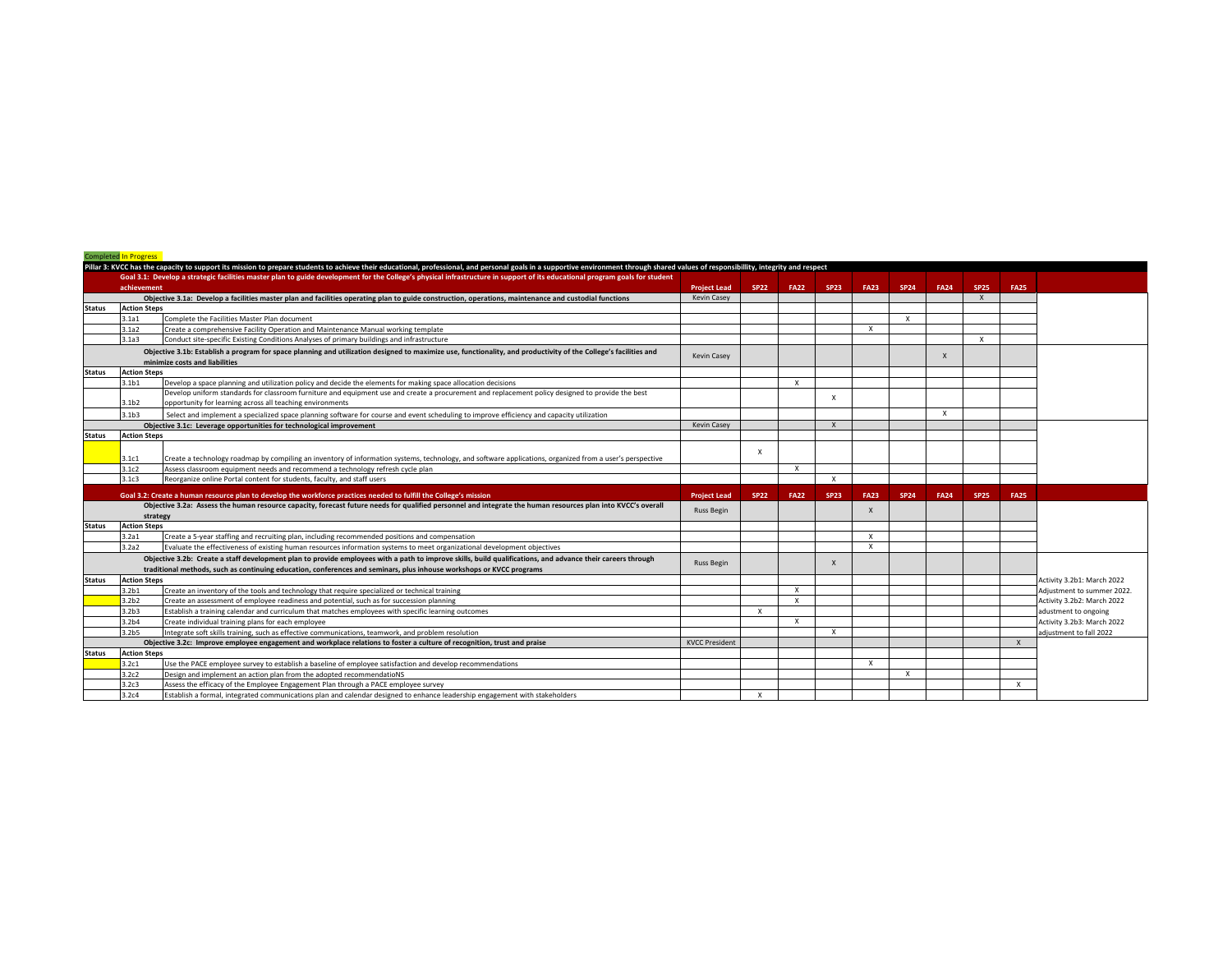|                                                                                                                                                                                                    | <b>Completed In Progress</b>                                                                                                                                 |                                                                                                                                                                                                                               |                       |              |                           |                           |                           |              |                           |             |              |                            |
|----------------------------------------------------------------------------------------------------------------------------------------------------------------------------------------------------|--------------------------------------------------------------------------------------------------------------------------------------------------------------|-------------------------------------------------------------------------------------------------------------------------------------------------------------------------------------------------------------------------------|-----------------------|--------------|---------------------------|---------------------------|---------------------------|--------------|---------------------------|-------------|--------------|----------------------------|
|                                                                                                                                                                                                    |                                                                                                                                                              | Pillar 3: KVCC has the capacity to support its mission to prepare students to achieve their educational, professional, and personal goals in a supportive environment through shared values of responsibillity, integrity and |                       |              |                           |                           |                           |              |                           |             |              |                            |
|                                                                                                                                                                                                    |                                                                                                                                                              | Goal 3.1: Develop a strategic facilities master plan to guide development for the College's physical infrastructure in support of its educational program goals for student                                                   |                       |              |                           |                           |                           |              |                           |             |              |                            |
|                                                                                                                                                                                                    | achievement                                                                                                                                                  |                                                                                                                                                                                                                               | <b>Project Lead</b>   | <b>SP22</b>  | <b>FA22</b>               | <b>SP23</b>               | <b>FA23</b>               | <b>SP24</b>  | <b>FA24</b>               | <b>SP25</b> | <b>FA25</b>  |                            |
|                                                                                                                                                                                                    |                                                                                                                                                              | Objective 3.1a: Develop a facilities master plan and facilities operating plan to guide construction, operations, maintenance and custodial functions                                                                         | <b>Kevin Casev</b>    |              |                           |                           |                           |              |                           |             |              |                            |
| <b>Status</b>                                                                                                                                                                                      | <b>Action Steps</b>                                                                                                                                          |                                                                                                                                                                                                                               |                       |              |                           |                           |                           |              |                           |             |              |                            |
|                                                                                                                                                                                                    | 3.1a1                                                                                                                                                        | Complete the Facilities Master Plan document                                                                                                                                                                                  |                       |              |                           |                           |                           |              |                           |             |              |                            |
|                                                                                                                                                                                                    | 3.1a2                                                                                                                                                        | Create a comprehensive Facility Operation and Maintenance Manual working template                                                                                                                                             |                       |              |                           |                           | $\mathsf{x}$              |              |                           |             |              |                            |
|                                                                                                                                                                                                    | 3.1a3                                                                                                                                                        | Conduct site-specific Existing Conditions Analyses of primary buildings and infrastructure                                                                                                                                    |                       |              |                           |                           |                           |              |                           | x           |              |                            |
| Objective 3.1b: Establish a program for space planning and utilization designed to maximize use, functionality, and productivity of the College's facilities and<br>minimize costs and liabilities |                                                                                                                                                              |                                                                                                                                                                                                                               | Kevin Casev           |              |                           |                           |                           |              | $\boldsymbol{\mathsf{x}}$ |             |              |                            |
| <b>Status</b>                                                                                                                                                                                      | <b>Action Steps</b>                                                                                                                                          |                                                                                                                                                                                                                               |                       |              |                           |                           |                           |              |                           |             |              |                            |
|                                                                                                                                                                                                    | 3.1 <sub>b1</sub>                                                                                                                                            | Develop a space planning and utilization policy and decide the elements for making space allocation decisions                                                                                                                 |                       |              | $\boldsymbol{\mathsf{x}}$ |                           |                           |              |                           |             |              |                            |
|                                                                                                                                                                                                    |                                                                                                                                                              | Develop uniform standards for classroom furniture and equipment use and create a procurement and replacement policy designed to provide the best                                                                              |                       |              |                           |                           |                           |              |                           |             |              |                            |
|                                                                                                                                                                                                    | 3.1 <sub>b2</sub>                                                                                                                                            | opportunity for learning across all teaching environments                                                                                                                                                                     |                       |              |                           | X                         |                           |              |                           |             |              |                            |
|                                                                                                                                                                                                    | 3.1 <sub>b3</sub>                                                                                                                                            | Select and implement a specialized space planning software for course and event scheduling to improve efficiency and capacity utilization                                                                                     |                       |              |                           |                           |                           |              | $\mathsf{x}$              |             |              |                            |
|                                                                                                                                                                                                    |                                                                                                                                                              | Objective 3.1c: Leverage opportunities for technological improvement                                                                                                                                                          | <b>Kevin Casey</b>    |              |                           | $\boldsymbol{\mathsf{x}}$ |                           |              |                           |             |              |                            |
| <b>Status</b>                                                                                                                                                                                      | <b>Action Steps</b>                                                                                                                                          |                                                                                                                                                                                                                               |                       |              |                           |                           |                           |              |                           |             |              |                            |
|                                                                                                                                                                                                    |                                                                                                                                                              |                                                                                                                                                                                                                               |                       |              |                           |                           |                           |              |                           |             |              |                            |
|                                                                                                                                                                                                    |                                                                                                                                                              |                                                                                                                                                                                                                               |                       | x            |                           |                           |                           |              |                           |             |              |                            |
|                                                                                                                                                                                                    | 3.1c1                                                                                                                                                        | Create a technology roadmap by compiling an inventory of information systems, technology, and software applications, organized from a user's perspective                                                                      |                       |              | $\times$                  |                           |                           |              |                           |             |              |                            |
|                                                                                                                                                                                                    | 3.1c2                                                                                                                                                        | Assess classroom equipment needs and recommend a technology refresh cycle plan                                                                                                                                                |                       |              |                           |                           |                           |              |                           |             |              |                            |
|                                                                                                                                                                                                    | 3.1c3                                                                                                                                                        | Reorganize online Portal content for students, faculty, and staff users                                                                                                                                                       |                       |              |                           | $\boldsymbol{\mathsf{x}}$ |                           |              |                           |             |              |                            |
|                                                                                                                                                                                                    |                                                                                                                                                              | Goal 3.2: Create a human resource plan to develop the workforce practices needed to fulfill the College's mission                                                                                                             | <b>Project Lead</b>   | <b>SP22</b>  | <b>FA22</b>               | <b>SP23</b>               | <b>FA23</b>               | <b>SP24</b>  | <b>FA24</b>               | <b>SP25</b> | <b>FA25</b>  |                            |
|                                                                                                                                                                                                    | Objective 3.2a: Assess the human resource capacity, forecast future needs for qualified personnel and integrate the human resources plan into KVCC's overall |                                                                                                                                                                                                                               |                       |              |                           |                           |                           |              |                           |             |              |                            |
|                                                                                                                                                                                                    | strategy                                                                                                                                                     |                                                                                                                                                                                                                               | <b>Russ Begin</b>     |              |                           |                           | $\mathsf{x}$              |              |                           |             |              |                            |
| <b>Status</b>                                                                                                                                                                                      | <b>Action Steps</b>                                                                                                                                          |                                                                                                                                                                                                                               |                       |              |                           |                           |                           |              |                           |             |              |                            |
|                                                                                                                                                                                                    | 3.2a1                                                                                                                                                        | Create a 5-year staffing and recruiting plan, including recommended positions and compensation                                                                                                                                |                       |              |                           |                           | $\boldsymbol{\mathsf{x}}$ |              |                           |             |              |                            |
|                                                                                                                                                                                                    | 3.2a2                                                                                                                                                        | Evaluate the effectiveness of existing human resources information systems to meet organizational development objectives                                                                                                      |                       |              |                           |                           | $\mathbf{x}$              |              |                           |             |              |                            |
|                                                                                                                                                                                                    | Objective 3.2b: Create a staff development plan to provide employees with a path to improve skills, build qualifications, and advance their careers through  |                                                                                                                                                                                                                               |                       |              |                           |                           |                           |              |                           |             |              |                            |
|                                                                                                                                                                                                    |                                                                                                                                                              | traditional methods, such as continuing education, conferences and seminars, plus inhouse workshops or KVCC programs                                                                                                          | Russ Begin            |              |                           | X                         |                           |              |                           |             |              |                            |
| <b>Status</b>                                                                                                                                                                                      | <b>Action Steps</b>                                                                                                                                          |                                                                                                                                                                                                                               |                       |              |                           |                           |                           |              |                           |             |              | Activity 3.2b1: March 2022 |
|                                                                                                                                                                                                    | 3.2 <sub>b1</sub>                                                                                                                                            | Create an inventory of the tools and technology that require specialized or technical training                                                                                                                                |                       |              | $\times$                  |                           |                           |              |                           |             |              | Adjustment to summer 2022. |
|                                                                                                                                                                                                    | 3.2 <sub>b2</sub>                                                                                                                                            | Create an assessment of employee readiness and potential, such as for succession planning                                                                                                                                     |                       |              | $\times$                  |                           |                           |              |                           |             |              | Activity 3.2b2: March 2022 |
|                                                                                                                                                                                                    | 3.2 <sub>b3</sub>                                                                                                                                            | Establish a training calendar and curriculum that matches employees with specific learning outcomes                                                                                                                           |                       | $\mathsf{x}$ |                           |                           |                           |              |                           |             |              | adustment to ongoing       |
|                                                                                                                                                                                                    | 3.2 <sub>b4</sub>                                                                                                                                            | Create individual training plans for each employee                                                                                                                                                                            |                       |              | $\times$                  |                           |                           |              |                           |             |              | Activity 3.2b3: March 2022 |
|                                                                                                                                                                                                    | 3.2 <sub>b5</sub>                                                                                                                                            | Integrate soft skills training, such as effective communications, teamwork, and problem resolution                                                                                                                            |                       |              |                           | $\mathsf{x}$              |                           |              |                           |             |              | adiustment to fall 2022    |
|                                                                                                                                                                                                    |                                                                                                                                                              | Objective 3.2c: Improve employee engagement and workplace relations to foster a culture of recognition, trust and praise                                                                                                      | <b>KVCC President</b> |              |                           |                           |                           |              |                           |             | $\mathbf{x}$ |                            |
| <b>Action Steps</b><br><b>Status</b>                                                                                                                                                               |                                                                                                                                                              |                                                                                                                                                                                                                               |                       |              |                           |                           |                           |              |                           |             |              |                            |
|                                                                                                                                                                                                    | 3.2c1                                                                                                                                                        | Use the PACE employee survey to establish a baseline of employee satisfaction and develop recommendations                                                                                                                     |                       |              |                           |                           | $\mathbf{x}$              |              |                           |             |              |                            |
|                                                                                                                                                                                                    | 3.2c2                                                                                                                                                        | Design and implement an action plan from the adopted recommendatioNS                                                                                                                                                          |                       |              |                           |                           |                           | $\mathsf{x}$ |                           |             |              |                            |
|                                                                                                                                                                                                    | 3.2c3                                                                                                                                                        | Assess the efficacy of the Employee Engagement Plan through a PACE employee survey                                                                                                                                            |                       |              |                           |                           |                           |              |                           |             | $\mathbf{x}$ |                            |
|                                                                                                                                                                                                    | 3.2c4                                                                                                                                                        | Establish a formal, integrated communications plan and calendar designed to enhance leadership engagement with stakeholders                                                                                                   |                       | $\mathsf{x}$ |                           |                           |                           |              |                           |             |              |                            |